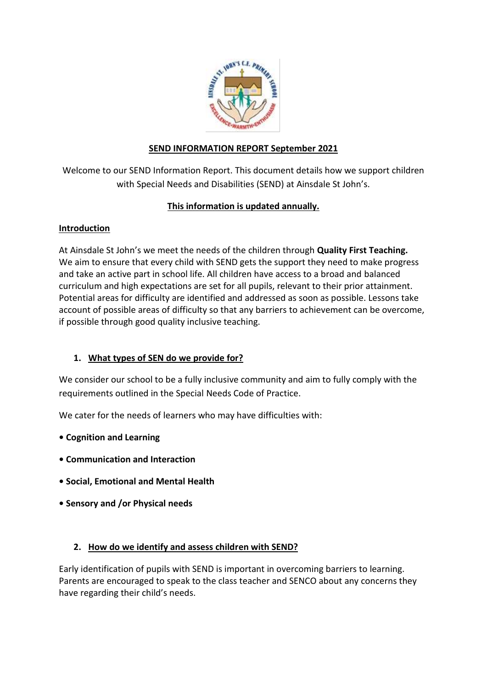

## **SEND INFORMATION REPORT September 2021**

Welcome to our SEND Information Report. This document details how we support children with Special Needs and Disabilities (SEND) at Ainsdale St John's.

# **This information is updated annually.**

## **Introduction**

At Ainsdale St John's we meet the needs of the children through **Quality First Teaching.** We aim to ensure that every child with SEND gets the support they need to make progress and take an active part in school life. All children have access to a broad and balanced curriculum and high expectations are set for all pupils, relevant to their prior attainment. Potential areas for difficulty are identified and addressed as soon as possible. Lessons take account of possible areas of difficulty so that any barriers to achievement can be overcome, if possible through good quality inclusive teaching.

## **1. What types of SEN do we provide for?**

We consider our school to be a fully inclusive community and aim to fully comply with the requirements outlined in the Special Needs Code of Practice.

We cater for the needs of learners who may have difficulties with:

- **Cognition and Learning**
- **Communication and Interaction**
- **Social, Emotional and Mental Health**
- **Sensory and /or Physical needs**

### **2. How do we identify and assess children with SEND?**

Early identification of pupils with SEND is important in overcoming barriers to learning. Parents are encouraged to speak to the class teacher and SENCO about any concerns they have regarding their child's needs.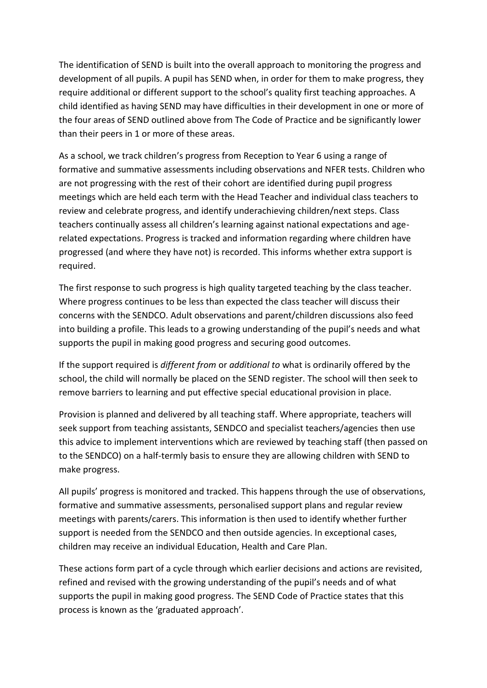The identification of SEND is built into the overall approach to monitoring the progress and development of all pupils. A pupil has SEND when, in order for them to make progress, they require additional or different support to the school's quality first teaching approaches. A child identified as having SEND may have difficulties in their development in one or more of the four areas of SEND outlined above from The Code of Practice and be significantly lower than their peers in 1 or more of these areas.

As a school, we track children's progress from Reception to Year 6 using a range of formative and summative assessments including observations and NFER tests. Children who are not progressing with the rest of their cohort are identified during pupil progress meetings which are held each term with the Head Teacher and individual class teachers to review and celebrate progress, and identify underachieving children/next steps. Class teachers continually assess all children's learning against national expectations and agerelated expectations. Progress is tracked and information regarding where children have progressed (and where they have not) is recorded. This informs whether extra support is required.

The first response to such progress is high quality targeted teaching by the class teacher. Where progress continues to be less than expected the class teacher will discuss their concerns with the SENDCO. Adult observations and parent/children discussions also feed into building a profile. This leads to a growing understanding of the pupil's needs and what supports the pupil in making good progress and securing good outcomes.

If the support required is *different from* or *additional to* what is ordinarily offered by the school, the child will normally be placed on the SEND register. The school will then seek to remove barriers to learning and put effective special educational provision in place.

Provision is planned and delivered by all teaching staff. Where appropriate, teachers will seek support from teaching assistants, SENDCO and specialist teachers/agencies then use this advice to implement interventions which are reviewed by teaching staff (then passed on to the SENDCO) on a half-termly basis to ensure they are allowing children with SEND to make progress.

All pupils' progress is monitored and tracked. This happens through the use of observations, formative and summative assessments, personalised support plans and regular review meetings with parents/carers. This information is then used to identify whether further support is needed from the SENDCO and then outside agencies. In exceptional cases, children may receive an individual Education, Health and Care Plan.

These actions form part of a cycle through which earlier decisions and actions are revisited, refined and revised with the growing understanding of the pupil's needs and of what supports the pupil in making good progress. The SEND Code of Practice states that this process is known as the 'graduated approach'.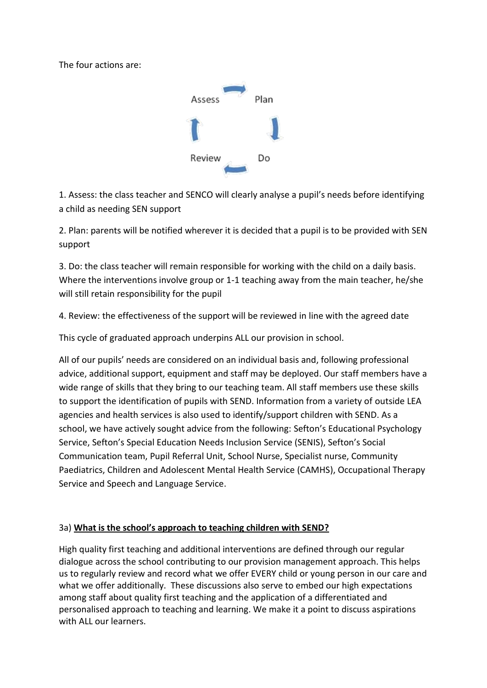The four actions are:



1. Assess: the class teacher and SENCO will clearly analyse a pupil's needs before identifying a child as needing SEN support

2. Plan: parents will be notified wherever it is decided that a pupil is to be provided with SEN support

3. Do: the class teacher will remain responsible for working with the child on a daily basis. Where the interventions involve group or 1-1 teaching away from the main teacher, he/she will still retain responsibility for the pupil

4. Review: the effectiveness of the support will be reviewed in line with the agreed date

This cycle of graduated approach underpins ALL our provision in school.

All of our pupils' needs are considered on an individual basis and, following professional advice, additional support, equipment and staff may be deployed. Our staff members have a wide range of skills that they bring to our teaching team. All staff members use these skills to support the identification of pupils with SEND. Information from a variety of outside LEA agencies and health services is also used to identify/support children with SEND. As a school, we have actively sought advice from the following: Sefton's Educational Psychology Service, Sefton's Special Education Needs Inclusion Service (SENIS), Sefton's Social Communication team, Pupil Referral Unit, School Nurse, Specialist nurse, Community Paediatrics, Children and Adolescent Mental Health Service (CAMHS), Occupational Therapy Service and Speech and Language Service.

### 3a) **What is the school's approach to teaching children with SEND?**

High quality first teaching and additional interventions are defined through our regular dialogue across the school contributing to our provision management approach. This helps us to regularly review and record what we offer EVERY child or young person in our care and what we offer additionally. These discussions also serve to embed our high expectations among staff about quality first teaching and the application of a differentiated and personalised approach to teaching and learning. We make it a point to discuss aspirations with ALL our learners.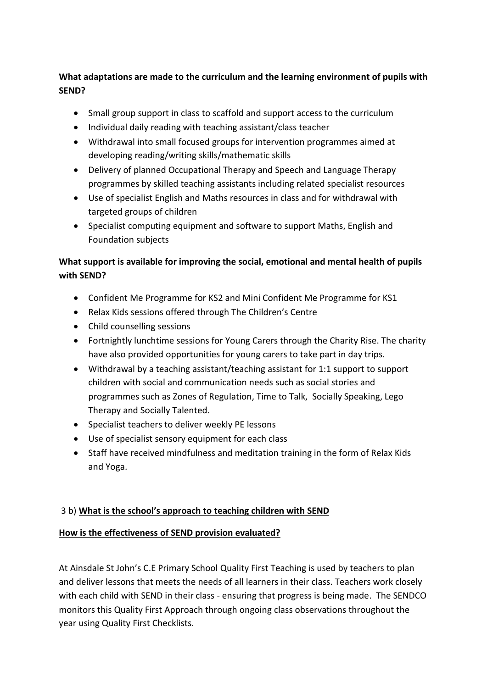# **What adaptations are made to the curriculum and the learning environment of pupils with SEND?**

- Small group support in class to scaffold and support access to the curriculum
- Individual daily reading with teaching assistant/class teacher
- Withdrawal into small focused groups for intervention programmes aimed at developing reading/writing skills/mathematic skills
- Delivery of planned Occupational Therapy and Speech and Language Therapy programmes by skilled teaching assistants including related specialist resources
- Use of specialist English and Maths resources in class and for withdrawal with targeted groups of children
- Specialist computing equipment and software to support Maths, English and Foundation subjects

# **What support is available for improving the social, emotional and mental health of pupils with SEND?**

- Confident Me Programme for KS2 and Mini Confident Me Programme for KS1
- Relax Kids sessions offered through The Children's Centre
- Child counselling sessions
- Fortnightly lunchtime sessions for Young Carers through the Charity Rise. The charity have also provided opportunities for young carers to take part in day trips.
- Withdrawal by a teaching assistant/teaching assistant for 1:1 support to support children with social and communication needs such as social stories and programmes such as Zones of Regulation, Time to Talk, Socially Speaking, Lego Therapy and Socially Talented.
- Specialist teachers to deliver weekly PE lessons
- Use of specialist sensory equipment for each class
- Staff have received mindfulness and meditation training in the form of Relax Kids and Yoga.

## 3 b) **What is the school's approach to teaching children with SEND**

## **How is the effectiveness of SEND provision evaluated?**

At Ainsdale St John's C.E Primary School Quality First Teaching is used by teachers to plan and deliver lessons that meets the needs of all learners in their class. Teachers work closely with each child with SEND in their class - ensuring that progress is being made. The SENDCO monitors this Quality First Approach through ongoing class observations throughout the year using Quality First Checklists.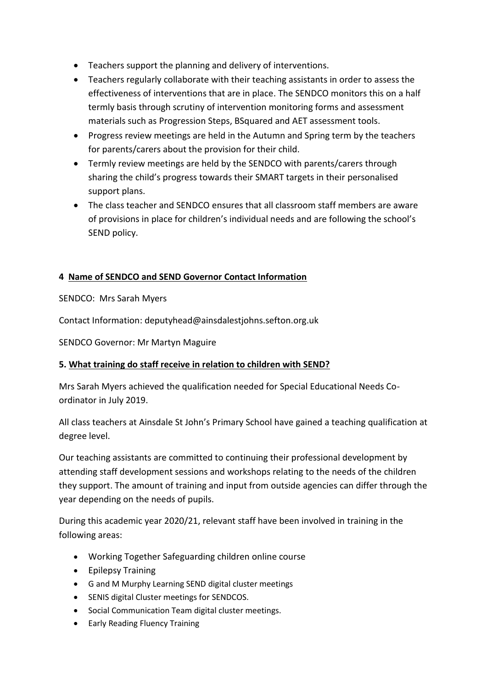- Teachers support the planning and delivery of interventions.
- Teachers regularly collaborate with their teaching assistants in order to assess the effectiveness of interventions that are in place. The SENDCO monitors this on a half termly basis through scrutiny of intervention monitoring forms and assessment materials such as Progression Steps, BSquared and AET assessment tools.
- Progress review meetings are held in the Autumn and Spring term by the teachers for parents/carers about the provision for their child.
- Termly review meetings are held by the SENDCO with parents/carers through sharing the child's progress towards their SMART targets in their personalised support plans.
- The class teacher and SENDCO ensures that all classroom staff members are aware of provisions in place for children's individual needs and are following the school's SEND policy.

## **4 Name of SENDCO and SEND Governor Contact Information**

SENDCO: Mrs Sarah Myers

Contact Information: deputyhead@ainsdalestjohns.sefton.org.uk

SENDCO Governor: Mr Martyn Maguire

### **5. What training do staff receive in relation to children with SEND?**

Mrs Sarah Myers achieved the qualification needed for Special Educational Needs Coordinator in July 2019.

All class teachers at Ainsdale St John's Primary School have gained a teaching qualification at degree level.

Our teaching assistants are committed to continuing their professional development by attending staff development sessions and workshops relating to the needs of the children they support. The amount of training and input from outside agencies can differ through the year depending on the needs of pupils.

During this academic year 2020/21, relevant staff have been involved in training in the following areas:

- Working Together Safeguarding children online course
- Epilepsy Training
- G and M Murphy Learning SEND digital cluster meetings
- SENIS digital Cluster meetings for SENDCOS.
- Social Communication Team digital cluster meetings.
- **•** Early Reading Fluency Training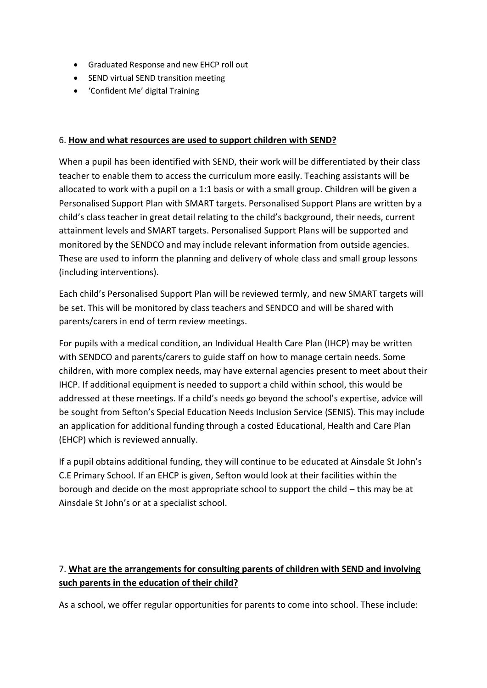- Graduated Response and new EHCP roll out
- SEND virtual SEND transition meeting
- 'Confident Me' digital Training

#### 6. **How and what resources are used to support children with SEND?**

When a pupil has been identified with SEND, their work will be differentiated by their class teacher to enable them to access the curriculum more easily. Teaching assistants will be allocated to work with a pupil on a 1:1 basis or with a small group. Children will be given a Personalised Support Plan with SMART targets. Personalised Support Plans are written by a child's class teacher in great detail relating to the child's background, their needs, current attainment levels and SMART targets. Personalised Support Plans will be supported and monitored by the SENDCO and may include relevant information from outside agencies. These are used to inform the planning and delivery of whole class and small group lessons (including interventions).

Each child's Personalised Support Plan will be reviewed termly, and new SMART targets will be set. This will be monitored by class teachers and SENDCO and will be shared with parents/carers in end of term review meetings.

For pupils with a medical condition, an Individual Health Care Plan (IHCP) may be written with SENDCO and parents/carers to guide staff on how to manage certain needs. Some children, with more complex needs, may have external agencies present to meet about their IHCP. If additional equipment is needed to support a child within school, this would be addressed at these meetings. If a child's needs go beyond the school's expertise, advice will be sought from Sefton's Special Education Needs Inclusion Service (SENIS). This may include an application for additional funding through a costed Educational, Health and Care Plan (EHCP) which is reviewed annually.

If a pupil obtains additional funding, they will continue to be educated at Ainsdale St John's C.E Primary School. If an EHCP is given, Sefton would look at their facilities within the borough and decide on the most appropriate school to support the child – this may be at Ainsdale St John's or at a specialist school.

# 7. **What are the arrangements for consulting parents of children with SEND and involving such parents in the education of their child?**

As a school, we offer regular opportunities for parents to come into school. These include: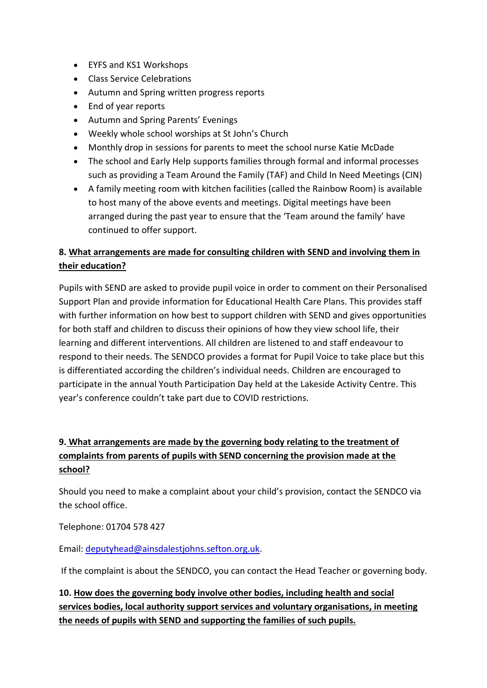- EYFS and KS1 Workshops
- Class Service Celebrations
- Autumn and Spring written progress reports
- End of year reports
- Autumn and Spring Parents' Evenings
- Weekly whole school worships at St John's Church
- Monthly drop in sessions for parents to meet the school nurse Katie McDade
- The school and Early Help supports families through formal and informal processes such as providing a Team Around the Family (TAF) and Child In Need Meetings (CIN)
- A family meeting room with kitchen facilities (called the Rainbow Room) is available to host many of the above events and meetings. Digital meetings have been arranged during the past year to ensure that the 'Team around the family' have continued to offer support.

# **8. What arrangements are made for consulting children with SEND and involving them in their education?**

Pupils with SEND are asked to provide pupil voice in order to comment on their Personalised Support Plan and provide information for Educational Health Care Plans. This provides staff with further information on how best to support children with SEND and gives opportunities for both staff and children to discuss their opinions of how they view school life, their learning and different interventions. All children are listened to and staff endeavour to respond to their needs. The SENDCO provides a format for Pupil Voice to take place but this is differentiated according the children's individual needs. Children are encouraged to participate in the annual Youth Participation Day held at the Lakeside Activity Centre. This year's conference couldn't take part due to COVID restrictions.

# **9. What arrangements are made by the governing body relating to the treatment of complaints from parents of pupils with SEND concerning the provision made at the school?**

Should you need to make a complaint about your child's provision, contact the SENDCO via the school office.

Telephone: 01704 578 427

Email: [deputyhead@ainsdalestjohns.sefton.org.uk.](mailto:deputyhead@ainsdalestjohns.sefton.org.uk)

If the complaint is about the SENDCO, you can contact the Head Teacher or governing body.

**10. How does the governing body involve other bodies, including health and social services bodies, local authority support services and voluntary organisations, in meeting the needs of pupils with SEND and supporting the families of such pupils.**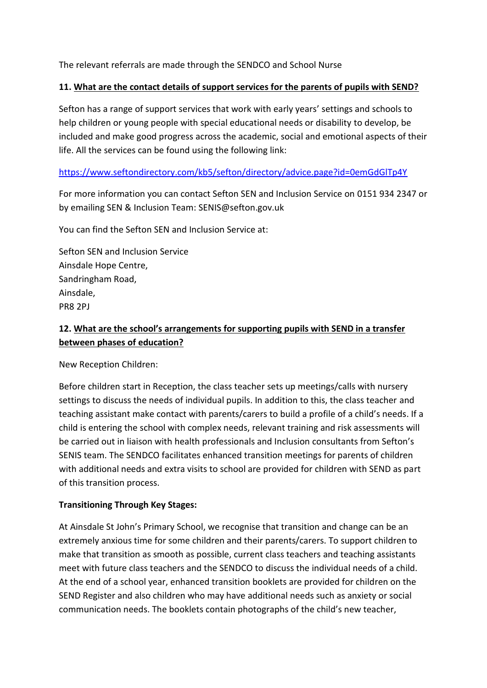The relevant referrals are made through the SENDCO and School Nurse

#### **11. What are the contact details of support services for the parents of pupils with SEND?**

Sefton has a range of support services that work with early years' settings and schools to help children or young people with special educational needs or disability to develop, be included and make good progress across the academic, social and emotional aspects of their life. All the services can be found using the following link:

### <https://www.seftondirectory.com/kb5/sefton/directory/advice.page?id=0emGdGlTp4Y>

For more information you can contact Sefton SEN and Inclusion Service on 0151 934 2347 or by emailing SEN & Inclusion Team: SENIS@sefton.gov.uk

You can find the Sefton SEN and Inclusion Service at:

Sefton SEN and Inclusion Service Ainsdale Hope Centre, Sandringham Road, Ainsdale, PR8 2PJ

# **12. What are the school's arrangements for supporting pupils with SEND in a transfer between phases of education?**

New Reception Children:

Before children start in Reception, the class teacher sets up meetings/calls with nursery settings to discuss the needs of individual pupils. In addition to this, the class teacher and teaching assistant make contact with parents/carers to build a profile of a child's needs. If a child is entering the school with complex needs, relevant training and risk assessments will be carried out in liaison with health professionals and Inclusion consultants from Sefton's SENIS team. The SENDCO facilitates enhanced transition meetings for parents of children with additional needs and extra visits to school are provided for children with SEND as part of this transition process.

### **Transitioning Through Key Stages:**

At Ainsdale St John's Primary School, we recognise that transition and change can be an extremely anxious time for some children and their parents/carers. To support children to make that transition as smooth as possible, current class teachers and teaching assistants meet with future class teachers and the SENDCO to discuss the individual needs of a child. At the end of a school year, enhanced transition booklets are provided for children on the SEND Register and also children who may have additional needs such as anxiety or social communication needs. The booklets contain photographs of the child's new teacher,